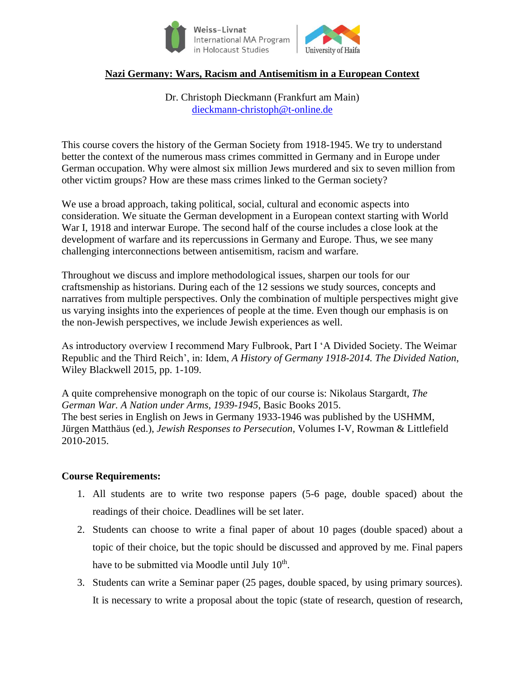

# **Nazi Germany: Wars, Racism and Antisemitism in a European Context**

Dr. Christoph Dieckmann (Frankfurt am Main) dieckmann-christoph@t-online.de

This course covers the history of the German Society from 1918-1945. We try to understand better the context of the numerous mass crimes committed in Germany and in Europe under German occupation. Why were almost six million Jews murdered and six to seven million from other victim groups? How are these mass crimes linked to the German society?

We use a broad approach, taking political, social, cultural and economic aspects into consideration. We situate the German development in a European context starting with World War I, 1918 and interwar Europe. The second half of the course includes a close look at the development of warfare and its repercussions in Germany and Europe. Thus, we see many challenging interconnections between antisemitism, racism and warfare.

Throughout we discuss and implore methodological issues, sharpen our tools for our craftsmenship as historians. During each of the 12 sessions we study sources, concepts and narratives from multiple perspectives. Only the combination of multiple perspectives might give us varying insights into the experiences of people at the time. Even though our emphasis is on the non-Jewish perspectives, we include Jewish experiences as well.

As introductory overview I recommend Mary Fulbrook, Part I 'A Divided Society. The Weimar Republic and the Third Reich', in: Idem, *A History of Germany 1918-2014. The Divided Nation*, Wiley Blackwell 2015, pp. 1-109.

A quite comprehensive monograph on the topic of our course is: Nikolaus Stargardt, *The German War. A Nation under Arms, 1939-1945*, Basic Books 2015. The best series in English on Jews in Germany 1933-1946 was published by the USHMM, Jürgen Matthäus (ed.), *Jewish Responses to Persecution*, Volumes I-V, Rowman & Littlefield 2010-2015.

## **Course Requirements:**

- 1. All students are to write two response papers (5-6 page, double spaced) about the readings of their choice. Deadlines will be set later.
- 2. Students can choose to write a final paper of about 10 pages (double spaced) about a topic of their choice, but the topic should be discussed and approved by me. Final papers have to be submitted via Moodle until July  $10^{th}$ .
- 3. Students can write a Seminar paper (25 pages, double spaced, by using primary sources). It is necessary to write a proposal about the topic (state of research, question of research,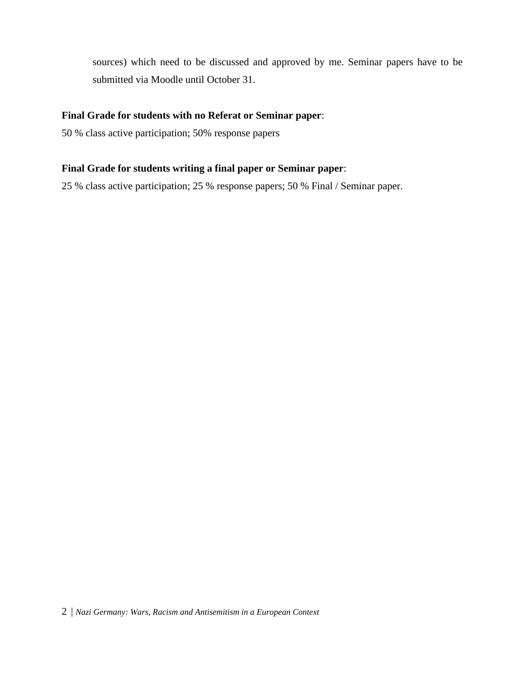sources) which need to be discussed and approved by me. Seminar papers have to be submitted via Moodle until October 31.

# **Final Grade for students with no Referat or Seminar paper**:

50 % class active participation; 50% response papers

# **Final Grade for students writing a final paper or Seminar paper**:

25 % class active participation; 25 % response papers; 50 % Final / Seminar paper.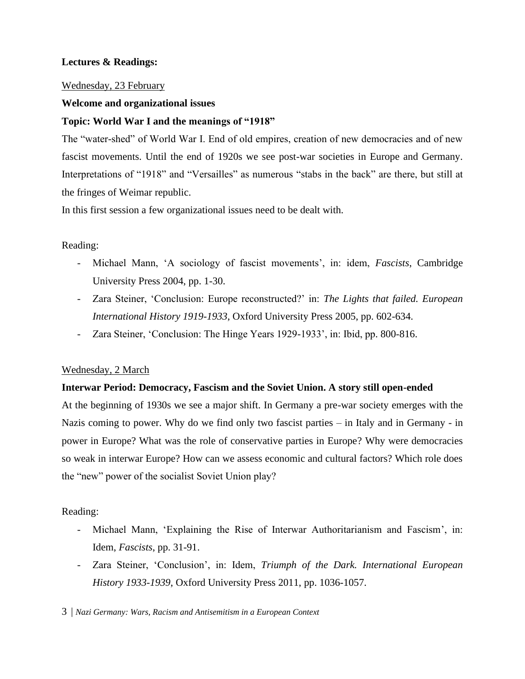# **Lectures & Readings:**

## Wednesday, 23 February

## **Welcome and organizational issues**

## **Topic: World War I and the meanings of "1918"**

The "water-shed" of World War I. End of old empires, creation of new democracies and of new fascist movements. Until the end of 1920s we see post-war societies in Europe and Germany. Interpretations of "1918" and "Versailles" as numerous "stabs in the back" are there, but still at the fringes of Weimar republic.

In this first session a few organizational issues need to be dealt with.

## Reading:

- Michael Mann, 'A sociology of fascist movements', in: idem, *Fascists*, Cambridge University Press 2004, pp. 1-30.
- Zara Steiner, 'Conclusion: Europe reconstructed?' in: *The Lights that failed. European International History 1919-1933*, Oxford University Press 2005, pp. 602-634.
- Zara Steiner, 'Conclusion: The Hinge Years 1929-1933', in: Ibid, pp. 800-816.

## Wednesday, 2 March

## **Interwar Period: Democracy, Fascism and the Soviet Union. A story still open-ended**

At the beginning of 1930s we see a major shift. In Germany a pre-war society emerges with the Nazis coming to power. Why do we find only two fascist parties – in Italy and in Germany - in power in Europe? What was the role of conservative parties in Europe? Why were democracies so weak in interwar Europe? How can we assess economic and cultural factors? Which role does the "new" power of the socialist Soviet Union play?

## Reading:

- Michael Mann, 'Explaining the Rise of Interwar Authoritarianism and Fascism', in: Idem, *Fascists*, pp. 31-91.
- Zara Steiner, 'Conclusion', in: Idem, *Triumph of the Dark. International European History 1933-1939*, Oxford University Press 2011, pp. 1036-1057.

3 | *Nazi Germany: Wars, Racism and Antisemitism in a European Context*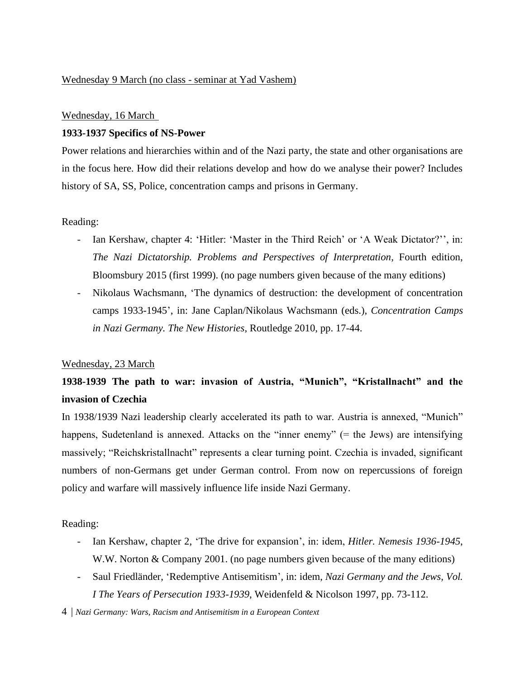## Wednesday 9 March (no class - seminar at Yad Vashem)

#### Wednesday, 16 March

#### **1933-1937 Specifics of NS-Power**

Power relations and hierarchies within and of the Nazi party, the state and other organisations are in the focus here. How did their relations develop and how do we analyse their power? Includes history of SA, SS, Police, concentration camps and prisons in Germany.

#### Reading:

- Ian Kershaw, chapter 4: 'Hitler: 'Master in the Third Reich' or 'A Weak Dictator?'', in: *The Nazi Dictatorship. Problems and Perspectives of Interpretation*, Fourth edition, Bloomsbury 2015 (first 1999). (no page numbers given because of the many editions)
- Nikolaus Wachsmann, 'The dynamics of destruction: the development of concentration camps 1933-1945', in: Jane Caplan/Nikolaus Wachsmann (eds.), *Concentration Camps in Nazi Germany. The New Histories*, Routledge 2010, pp. 17-44.

#### Wednesday, 23 March

# **1938-1939 The path to war: invasion of Austria, "Munich", "Kristallnacht" and the invasion of Czechia**

In 1938/1939 Nazi leadership clearly accelerated its path to war. Austria is annexed, "Munich" happens, Sudetenland is annexed. Attacks on the "inner enemy" (= the Jews) are intensifying massively; "Reichskristallnacht" represents a clear turning point. Czechia is invaded, significant numbers of non-Germans get under German control. From now on repercussions of foreign policy and warfare will massively influence life inside Nazi Germany.

Reading:

- Ian Kershaw, chapter 2, 'The drive for expansion', in: idem, *Hitler. Nemesis 1936-1945*, W.W. Norton & Company 2001. (no page numbers given because of the many editions)
- Saul Friedländer, 'Redemptive Antisemitism', in: idem, *Nazi Germany and the Jews, Vol. I The Years of Persecution 1933-1939*, Weidenfeld & Nicolson 1997, pp. 73-112.
- 4 | *Nazi Germany: Wars, Racism and Antisemitism in a European Context*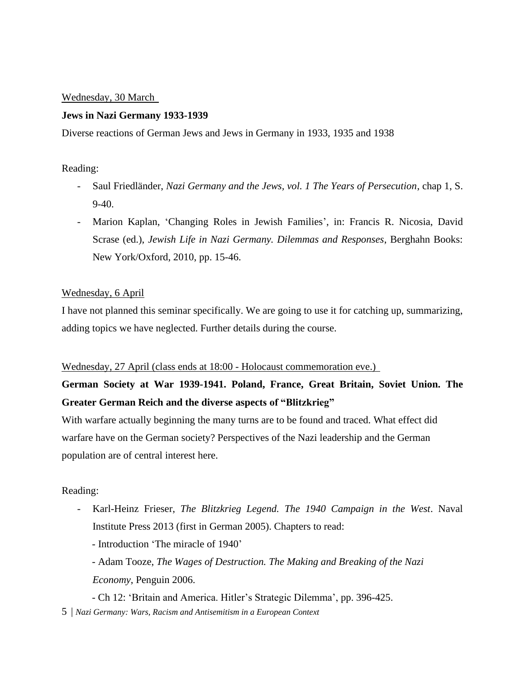## Wednesday, 30 March

#### **Jews in Nazi Germany 1933-1939**

Diverse reactions of German Jews and Jews in Germany in 1933, 1935 and 1938

## Reading:

- Saul Friedländer, *Nazi Germany and the Jews, vol. 1 The Years of Persecution*, chap 1, S. 9-40.
- Marion Kaplan, 'Changing Roles in Jewish Families', in: Francis R. Nicosia, David Scrase (ed.), *Jewish Life in Nazi Germany. Dilemmas and Responses*, Berghahn Books: New York/Oxford, 2010, pp. 15-46.

### Wednesday, 6 April

I have not planned this seminar specifically. We are going to use it for catching up, summarizing, adding topics we have neglected. Further details during the course.

#### Wednesday, 27 April (class ends at 18:00 - Holocaust commemoration eve.)

**German Society at War 1939-1941. Poland, France, Great Britain, Soviet Union. The Greater German Reich and the diverse aspects of "Blitzkrieg"**

With warfare actually beginning the many turns are to be found and traced. What effect did warfare have on the German society? Perspectives of the Nazi leadership and the German population are of central interest here.

## Reading:

- Karl-Heinz Frieser, *The Blitzkrieg Legend. The 1940 Campaign in the West*. Naval Institute Press 2013 (first in German 2005). Chapters to read:
	- Introduction 'The miracle of 1940'
	- Adam Tooze, *The Wages of Destruction. The Making and Breaking of the Nazi Economy*, Penguin 2006.
	- Ch 12: 'Britain and America. Hitler's Strategic Dilemma', pp. 396-425.
- 5 | *Nazi Germany: Wars, Racism and Antisemitism in a European Context*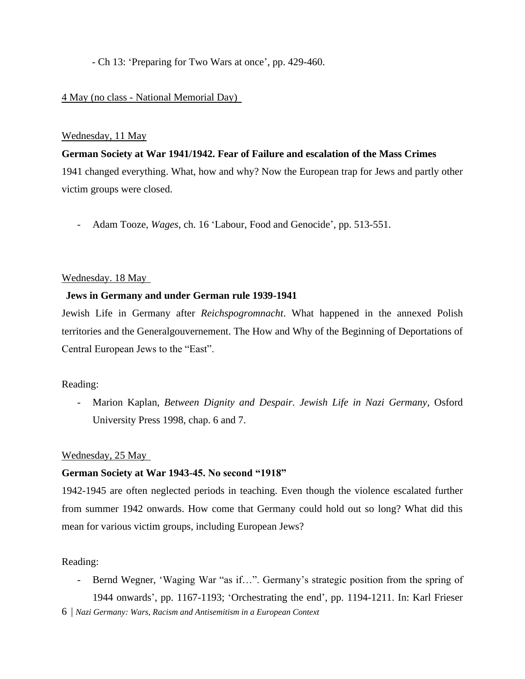- Ch 13: 'Preparing for Two Wars at once', pp. 429-460.

## 4 May (no class - National Memorial Day)

## Wednesday, 11 May

## **German Society at War 1941/1942. Fear of Failure and escalation of the Mass Crimes**

1941 changed everything. What, how and why? Now the European trap for Jews and partly other victim groups were closed.

- Adam Tooze, *Wages*, ch. 16 'Labour, Food and Genocide', pp. 513-551.

## Wednesday. 18 May

## **Jews in Germany and under German rule 1939-1941**

Jewish Life in Germany after *Reichspogromnacht*. What happened in the annexed Polish territories and the Generalgouvernement. The How and Why of the Beginning of Deportations of Central European Jews to the "East".

## Reading:

- Marion Kaplan, *Between Dignity and Despair. Jewish Life in Nazi Germany*, Osford University Press 1998, chap. 6 and 7.

## Wednesday, 25 May

## **German Society at War 1943-45. No second "1918"**

1942-1945 are often neglected periods in teaching. Even though the violence escalated further from summer 1942 onwards. How come that Germany could hold out so long? What did this mean for various victim groups, including European Jews?

#### Reading:

- Bernd Wegner, 'Waging War "as if…". Germany's strategic position from the spring of 1944 onwards', pp. 1167-1193; 'Orchestrating the end', pp. 1194-1211. In: Karl Frieser

6 | *Nazi Germany: Wars, Racism and Antisemitism in a European Context*